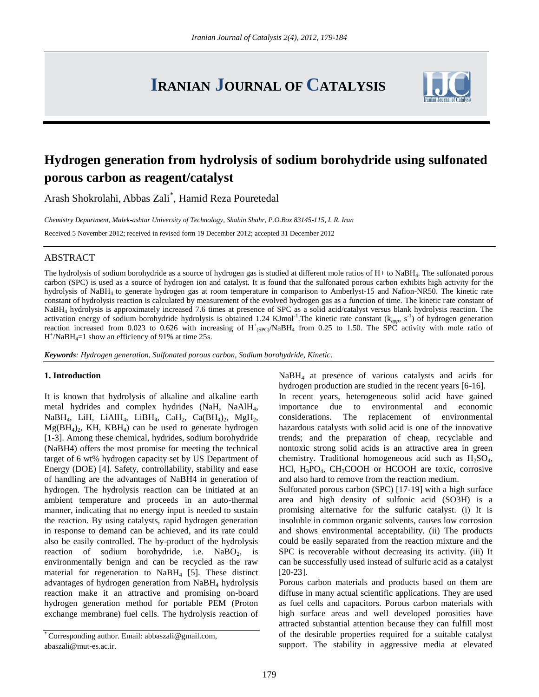# **IRANIAN JOURNAL OF CATALYSIS**



# **Hydrogen generation from hydrolysis of sodium borohydride using sulfonated porous carbon as reagent/catalyst**

Arash Shokrolahi, Abbas Zali\* , Hamid Reza Pouretedal

*Chemistry Department, Malek-ashtar University of Technology, Shahin Shahr, P.O.Box 83145-115, I. R. Iran*

Received 5 November 2012; received in revised form 19 December 2012; accepted 31 December 2012

## ABSTRACT

The hydrolysis of sodium borohydride as a source of hydrogen gas is studied at different mole ratios of H+ to NaBH<sub>4</sub>. The sulfonated porous carbon (SPC) is used as a source of hydrogen ion and catalyst. It is found that the sulfonated porous carbon exhibits high activity for the hydrolysis of NaBH4 to generate hydrogen gas at room temperature in comparison to Amberlyst-15 and Nafion-NR50. The kinetic rate constant of hydrolysis reaction is calculated by measurement of the evolved hydrogen gas as a function of time. The kinetic rate constant of NaBH<sup>4</sup> hydrolysis is approximately increased 7.6 times at presence of SPC as a solid acid/catalyst versus blank hydrolysis reaction. The activation energy of sodium borohydride hydrolysis is obtained 1.24 KJmol<sup>-1</sup>. The kinetic rate constant (k<sub>app</sub>, s<sup>-1</sup>) of hydrogen generation reaction increased from 0.023 to 0.626 with increasing of  $H^+_{(SPC)}/N$ aBH<sub>4</sub> from 0.25 to 1.50. The SPC activity with mole ratio of  $H^{\dagger}/NaBH_4=1$  show an efficiency of 91% at time 25s.

*Keywords: Hydrogen generation, Sulfonated porous carbon, Sodium borohydride, Kinetic.*

#### **1. Introduction**

It is known that hydrolysis of alkaline and alkaline earth metal hydrides and complex hydrides (NaH, NaAlH4, NaBH<sub>4</sub>, LiH, LiAlH<sub>4</sub>, LiBH<sub>4</sub>, CaH<sub>2</sub>, Ca(BH<sub>4</sub>)<sub>2</sub>, MgH<sub>2</sub>,  $Mg(BH_4)_2$ , KH, KBH<sub>4</sub>) can be used to generate hydrogen [1-3]. Among these chemical, hydrides, sodium borohydride (NaBH4) offers the most promise for meeting the technical target of 6 wt% hydrogen capacity set by US Department of Energy (DOE) [4]. Safety, controllability, stability and ease of handling are the advantages of NaBH4 in generation of hydrogen. The hydrolysis reaction can be initiated at an ambient temperature and proceeds in an auto-thermal manner, indicating that no energy input is needed to sustain the reaction. By using catalysts, rapid hydrogen generation in response to demand can be achieved, and its rate could also be easily controlled. The by-product of the hydrolysis reaction of sodium borohydride, i.e.  $NaBO<sub>2</sub>$  is environmentally benign and can be recycled as the raw material for regeneration to NaBH<sup>4</sup> [5]. These distinct advantages of hydrogen generation from NaBH<sup>4</sup> hydrolysis reaction make it an attractive and promising on-board hydrogen generation method for portable PEM (Proton exchange membrane) fuel cells. The hydrolysis reaction of

NaBH<sup>4</sup> at presence of various catalysts and acids for hydrogen production are studied in the recent years [6-16].

In recent years, heterogeneous solid acid have gained importance due to environmental and economic considerations. The replacement of environmental hazardous catalysts with solid acid is one of the innovative trends; and the preparation of cheap, recyclable and nontoxic strong solid acids is an attractive area in green chemistry. Traditional homogeneous acid such as  $H_2SO_4$ , HCl,  $H_3PO_4$ ,  $CH_3COOH$  or HCOOH are toxic, corrosive and also hard to remove from the reaction medium.

Sulfonated porous carbon (SPC) [17-19] with a high surface area and high density of sulfonic acid (SO3H) is a promising alternative for the sulfuric catalyst. (i) It is insoluble in common organic solvents, causes low corrosion and shows environmental acceptability. (ii) The products could be easily separated from the reaction mixture and the SPC is recoverable without decreasing its activity. (iii) It can be successfully used instead of sulfuric acid as a catalyst [20-23].

Porous carbon materials and products based on them are diffuse in many actual scientific applications. They are used as fuel cells and capacitors. Porous carbon materials with high surface areas and well developed porosities have attracted substantial attention because they can fulfill most of the desirable properties required for a suitable catalyst support. The stability in aggressive media at elevated

Corresponding author. Email: abbaszali@gmail.com, abaszali@mut-es.ac.ir.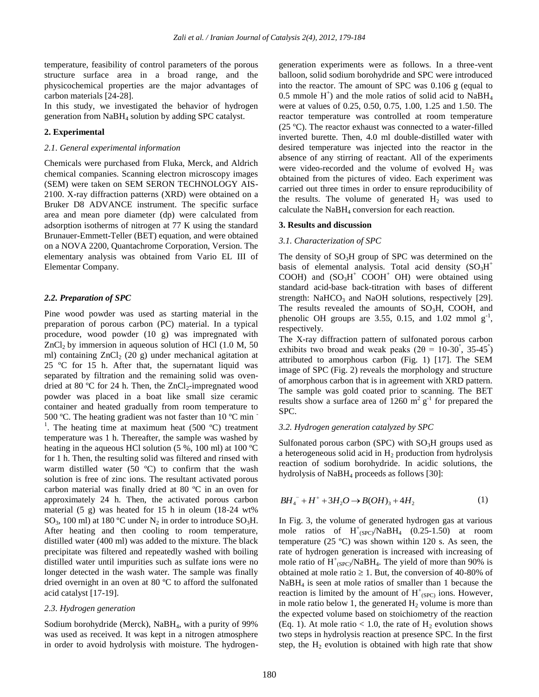temperature, feasibility of control parameters of the porous structure surface area in a broad range, and the physicochemical properties are the major advantages of carbon materials [24-28].

In this study, we investigated the behavior of hydrogen generation from NaBH<sup>4</sup> solution by adding SPC catalyst.

#### **2. Experimental**

#### *2.1. General experimental information*

Chemicals were purchased from Fluka, Merck, and Aldrich chemical companies. Scanning electron microscopy images (SEM) were taken on SEM SERON TECHNOLOGY AIS-2100. X-ray diffraction patterns (XRD) were obtained on a Bruker D8 ADVANCE instrument. The specific surface area and mean pore diameter (dp) were calculated from adsorption isotherms of nitrogen at 77 K using the standard Brunauer-Emmett-Teller (BET) equation, and were obtained on a NOVA 2200, Quantachrome Corporation, Version. The elementary analysis was obtained from Vario EL III of Elementar Company.

#### *2.2. Preparation of SPC*

Pine wood powder was used as starting material in the preparation of porous carbon (PC) material. In a typical procedure, wood powder (10 g) was impregnated with  $ZnCl<sub>2</sub>$  by immersion in aqueous solution of HCl (1.0 M, 50) ml) containing  $ZnCl<sub>2</sub>$  (20 g) under mechanical agitation at 25 ºC for 15 h. After that, the supernatant liquid was separated by filtration and the remaining solid was ovendried at 80 °C for 24 h. Then, the  $ZnCl_2$ -impregnated wood powder was placed in a boat like small size ceramic container and heated gradually from room temperature to 500 °C. The heating gradient was not faster than 10 °C min <sup>1</sup>. The heating time at maximum heat  $(500 °C)$  treatment temperature was 1 h. Thereafter, the sample was washed by heating in the aqueous HCl solution (5 %, 100 ml) at 100 ºC for 1 h. Then, the resulting solid was filtered and rinsed with warm distilled water (50 ºC) to confirm that the wash solution is free of zinc ions. The resultant activated porous carbon material was finally dried at 80 ºC in an oven for approximately 24 h. Then, the activated porous carbon material (5 g) was heated for 15 h in oleum (18-24 wt% SO<sub>3</sub>, 100 ml) at 180 °C under N<sub>2</sub> in order to introduce SO<sub>3</sub>H. After heating and then cooling to room temperature, distilled water (400 ml) was added to the mixture. The black precipitate was filtered and repeatedly washed with boiling distilled water until impurities such as sulfate ions were no longer detected in the wash water. The sample was finally dried overnight in an oven at 80 ºC to afford the sulfonated acid catalyst [17-19].

#### *2.3. Hydrogen generation*

Sodium borohydride (Merck), NaBH<sub>4</sub>, with a purity of 99% was used as received. It was kept in a nitrogen atmosphere in order to avoid hydrolysis with moisture. The hydrogen-

generation experiments were as follows. In a three-vent balloon, solid sodium borohydride and SPC were introduced into the reactor. The amount of SPC was 0.106 g (equal to 0.5 mmole  $H^+$ ) and the mole ratios of solid acid to NaBH<sub>4</sub> were at values of 0.25, 0.50, 0.75, 1.00, 1.25 and 1.50. The reactor temperature was controlled at room temperature (25 ºC). The reactor exhaust was connected to a water-filled inverted burette. Then, 4.0 ml double-distilled water with desired temperature was injected into the reactor in the absence of any stirring of reactant. All of the experiments were video-recorded and the volume of evolved  $H_2$  was obtained from the pictures of video. Each experiment was carried out three times in order to ensure reproducibility of the results. The volume of generated  $H_2$  was used to calculate the NaBH<sup>4</sup> conversion for each reaction.

#### **3. Results and discussion**

#### *3.1. Characterization of SPC*

The density of  $SO<sub>3</sub>H$  group of SPC was determined on the basis of elemental analysis. Total acid density  $(SO<sub>3</sub>H<sup>+</sup>)$ COOH) and  $(SO<sub>3</sub>H<sup>+</sup> COOH<sup>+</sup> OH)$  were obtained using standard acid-base back-titration with bases of different strength: NaHCO<sub>3</sub> and NaOH solutions, respectively  $[29]$ . The results revealed the amounts of  $SO<sub>3</sub>H$ , COOH, and phenolic OH groups are 3.55, 0.15, and 1.02 mmol  $g^{-1}$ , respectively.

The X-ray diffraction pattern of sulfonated porous carbon exhibits two broad and weak peaks  $(2\theta = 10-30^{\circ}, 35-45^{\circ})$ attributed to amorphous carbon (Fig. 1) [17]. The SEM image of SPC (Fig. 2) reveals the morphology and structure of amorphous carbon that is in agreement with XRD pattern. The sample was gold coated prior to scanning. The BET results show a surface area of 1260  $m^2$  g<sup>-1</sup> for prepared the SPC.

#### *3.2. Hydrogen generation catalyzed by SPC*

Sulfonated porous carbon (SPC) with  $SO<sub>3</sub>H$  groups used as a heterogeneous solid acid in  $H_2$  production from hydrolysis reaction of sodium borohydride. In acidic solutions, the hydrolysis of NaBH<sub>4</sub> proceeds as follows [30]:

$$
BH_{4}^- + H^+ + 3H_2O \to B(OH)_3 + 4H_2
$$
 (1)

 $BH_4^- + H^+ + 3H_2O \rightarrow B(OH)_3 + 4H_2$ <br>In Fig. 3, the volume of generated hy<br>mole ratios of  $H^+(sec)/NabH_4$  ((temperature (25 °C) was shown withi<br>rate of hydrogen generation is increas<br>mole ratio of  $H^+(sec)/NabH_4$ . The yield<br>obtained In Fig. 3, the volume of generated hydrogen gas at various mole ratios of  $H^+_{(SPC)}/NaBH_4$  (0.25-1.50) at room temperature (25 ºC) was shown within 120 s. As seen, the rate of hydrogen generation is increased with increasing of mole ratio of  $H^+_{(SPC)}/NaBH_4$ . The yield of more than 90% is obtained at mole ratio  $\geq 1$ . But, the conversion of 40-80% of  $NaBH<sub>4</sub>$  is seen at mole ratios of smaller than 1 because the reaction is limited by the amount of  $H^+_{(SPC)}$  ions. However, in mole ratio below 1, the generated  $H_2$  volume is more than the expected volume based on stoichiometry of the reaction (Eq. 1). At mole ratio  $< 1.0$ , the rate of H<sub>2</sub> evolution shows two steps in hydrolysis reaction at presence SPC. In the first step, the  $H_2$  evolution is obtained with high rate that show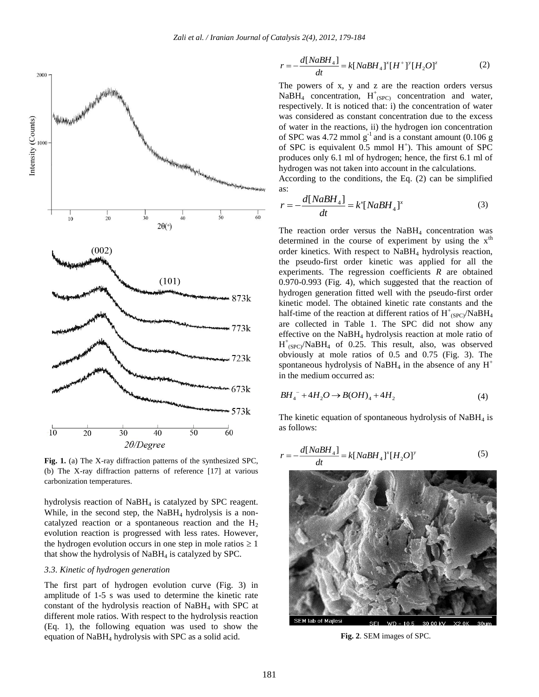

**Fig. 1.** (a) The X-ray diffraction patterns of the synthesized SPC, (b) The X-ray diffraction patterns of reference [17] at various carbonization temperatures.

hydrolysis reaction of NaBH<sub>4</sub> is catalyzed by SPC reagent. While, in the second step, the  $NaBH<sub>4</sub>$  hydrolysis is a noncatalyzed reaction or a spontaneous reaction and the  $H_2$ evolution reaction is progressed with less rates. However, the hydrogen evolution occurs in one step in mole ratios  $\geq 1$ that show the hydrolysis of  $N$ a $BH$ <sub>4</sub> is catalyzed by SPC.

#### *3.3. Kinetic of hydrogen generation*

The first part of hydrogen evolution curve (Fig. 3) in amplitude of 1-5 s was used to determine the kinetic rate constant of the hydrolysis reaction of  $N$ aBH<sub>4</sub> with SPC at different mole ratios. With respect to the hydrolysis reaction (Eq. 1), the following equation was used to show the equation of  $N$ aBH<sub>4</sub> hydrolysis with SPC as a solid acid.

$$
r = -\frac{d[NaBH_4]}{dt} = k[NaBH_4]^x [H^+]^y [H_2O]^z
$$
 (2)

The powers of x, y and z are the reaction orders versus NaBH<sub>4</sub> concentration,  $H^+_{(SPC)}$  concentration and water, respectively. It is noticed that: i) the concentration of water was considered as constant concentration due to the excess of water in the reactions, ii) the hydrogen ion concentration of SPC was  $4.72$  mmol  $g^{-1}$  and is a constant amount (0.106 g of SPC is equivalent  $0.5$  mmol  $H^+$ ). This amount of SPC produces only 6.1 ml of hydrogen; hence, the first 6.1 ml of hydrogen was not taken into account in the calculations.

According to the conditions, the Eq. (2) can be simplified as:

$$
r = -\frac{d[NaBH_4]}{dt} = k'[NaBH_4]^x
$$
 (3)

The reaction order versus the  $NabH_4$  concentration was determined in the course of experiment by using the  $x<sup>th</sup>$ order kinetics. With respect to NaBH<sup>4</sup> hydrolysis reaction, the pseudo-first order kinetic was applied for all the experiments. The regression coefficients *R* are obtained 0.970-0.993 (Fig. 4), which suggested that the reaction of hydrogen generation fitted well with the pseudo-first order kinetic model. The obtained kinetic rate constants and the half-time of the reaction at different ratios of  $H^+_{SPC}/NaBH_4$ are collected in Table 1. The SPC did not show any effective on the NaBH<sup>4</sup> hydrolysis reaction at mole ratio of  $H^+_{(SPC)}$ /NaBH<sub>4</sub> of 0.25. This result, also, was observed obviously at mole ratios of 0.5 and 0.75 (Fig. 3). The spontaneous hydrolysis of NaBH<sub>4</sub> in the absence of any  $H^+$ in the medium occurred as:

$$
BH_4^- + 4H_2O \to B(OH)_4 + 4H_2 \tag{4}
$$

The kinetic equation of spontaneous hydrolysis of  $N$ aBH<sub>4</sub> is as follows:

$$
r = -\frac{d[NaBH_4]}{dt} = k[NaBH_4]^x [H_2O]^y
$$
\n(5)



**Fig. 2**. SEM images of SPC.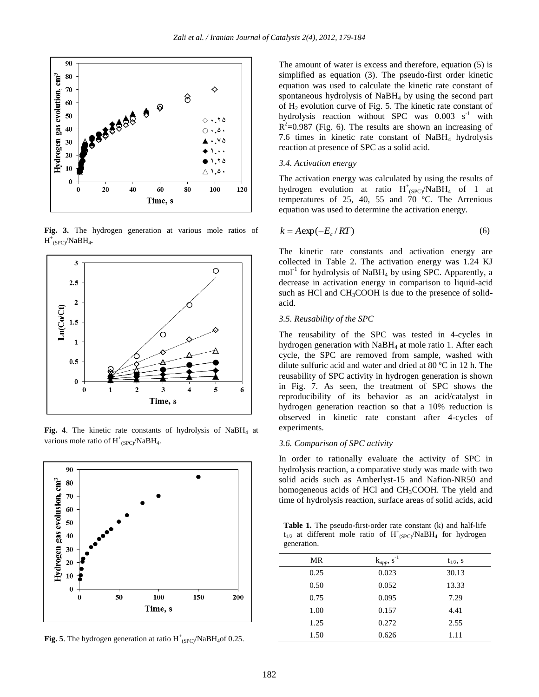

**Fig. 3.** The hydrogen generation at various mole ratios of H + (SPC)/NaBH<sup>4</sup> **.**



Fig. 4. The kinetic rate constants of hydrolysis of NaBH<sub>4</sub> at various mole ratio of  $H^+_{\langle \text{SPC} \rangle}/\text{NaBH}_4$ .



**Fig. 5**. The hydrogen generation at ratio  $H^+_{ (SPC)}/N$ aBH<sub>4</sub>of 0.25.

The amount of water is excess and therefore, equation (5) is simplified as equation (3). The pseudo-first order kinetic equation was used to calculate the kinetic rate constant of spontaneous hydrolysis of NaBH<sup>4</sup> by using the second part of  $H_2$  evolution curve of Fig. 5. The kinetic rate constant of hydrolysis reaction without SPC was  $0.003$  s<sup>-1</sup> with  $R^2$ =0.987 (Fig. 6). The results are shown an increasing of 7.6 times in kinetic rate constant of  $N$ a $BH<sub>4</sub>$  hydrolysis reaction at presence of SPC as a solid acid.

#### *3.4. Activation energy*

The activation energy was calculated by using the results of hydrogen evolution at ratio  $H^+_{(SPC)}/NaBH_4$  of 1 at temperatures of 25, 40, 55 and 70 ºC. The Arrenious equation was used to determine the activation energy.

$$
k = A \exp(-E_a / RT) \tag{6}
$$

The kinetic rate constants and activation energy are collected in Table 2. The activation energy was 1.24 KJ mol<sup>-1</sup> for hydrolysis of NaBH<sub>4</sub> by using SPC. Apparently, a decrease in activation energy in comparison to liquid-acid such as HCl and  $CH<sub>3</sub>COOH$  is due to the presence of solidacid.

#### *3.5. Reusability of the SPC*

The reusability of the SPC was tested in 4-cycles in hydrogen generation with NaBH<sub>4</sub> at mole ratio 1. After each cycle, the SPC are removed from sample, washed with dilute sulfuric acid and water and dried at 80 ºC in 12 h. The reusability of SPC activity in hydrogen generation is shown in Fig. 7. As seen, the treatment of SPC shows the reproducibility of its behavior as an acid/catalyst in hydrogen generation reaction so that a 10% reduction is observed in kinetic rate constant after 4-cycles of experiments.

## *3.6. Comparison of SPC activity*

In order to rationally evaluate the activity of SPC in hydrolysis reaction, a comparative study was made with two solid acids such as Amberlyst-15 and Nafion-NR50 and homogeneous acids of HCl and CH<sub>3</sub>COOH. The yield and time of hydrolysis reaction, surface areas of solid acids, acid

**Table 1.** The pseudo-first-order rate constant (k) and half-life  $t_{1/2}$  at different mole ratio of  $H^+_{(SPC)}/N$ aBH<sub>4</sub> for hydrogen generation.

| MR   | $k_{app}$ , $s^{-1}$ | $t_{1/2}$ , s |
|------|----------------------|---------------|
| 0.25 | 0.023                | 30.13         |
| 0.50 | 0.052                | 13.33         |
| 0.75 | 0.095                | 7.29          |
| 1.00 | 0.157                | 4.41          |
| 1.25 | 0.272                | 2.55          |
| 1.50 | 0.626                | 1.11          |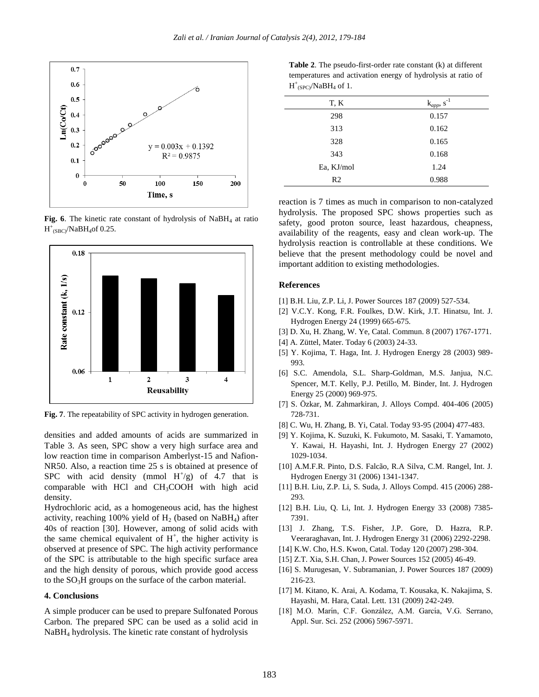

Fig. 6. The kinetic rate constant of hydrolysis of NaBH<sub>4</sub> at ratio  $H^+_{(SBC)}/NaBH_4$ of 0.25.



**Fig. 7**. The repeatability of SPC activity in hydrogen generation.

densities and added amounts of acids are summarized in Table 3. As seen, SPC show a very high surface area and low reaction time in comparison Amberlyst-15 and Nafion-NR50. Also, a reaction time 25 s is obtained at presence of SPC with acid density (mmol  $H^+/g$ ) of 4.7 that is comparable with HCl and  $CH<sub>3</sub>COOH$  with high acid density.

Hydrochloric acid, as a homogeneous acid, has the highest activity, reaching 100% yield of  $H<sub>2</sub>$  (based on NaBH<sub>4</sub>) after 40s of reaction [30]. However, among of solid acids with the same chemical equivalent of  $H^+$ , the higher activity is observed at presence of SPC. The high activity performance of the SPC is attributable to the high specific surface area and the high density of porous, which provide good access to the SO3H groups on the surface of the carbon material.

#### **4. Conclusions**

A simple producer can be used to prepare Sulfonated Porous Carbon. The prepared SPC can be used as a solid acid in NaBH<sup>4</sup> hydrolysis. The kinetic rate constant of hydrolysis

**Table 2**. The pseudo-first-order rate constant (k) at different temperatures and activation energy of hydrolysis at ratio of  $H^+_{(SPC)}/N$ aB $H_4$  of 1.

| T, K       | $k_{app}$ , s <sup>-1</sup> |
|------------|-----------------------------|
| 298        | 0.157                       |
| 313        | 0.162                       |
| 328        | 0.165                       |
| 343        | 0.168                       |
| Ea, KJ/mol | 1.24                        |
| R2         | 0.988                       |

reaction is 7 times as much in comparison to non-catalyzed hydrolysis. The proposed SPC shows properties such as safety, good proton source, least hazardous, cheapness, availability of the reagents, easy and clean work-up. The hydrolysis reaction is controllable at these conditions. We believe that the present methodology could be novel and important addition to existing methodologies.

#### **References**

- [1] B.H. Liu, Z.P. Li, J. Power Sources 187 (2009) 527-534.
- [2] V.C.Y. Kong, F.R. Foulkes, D.W. Kirk, J.T. Hinatsu, Int. J. Hydrogen Energy 24 (1999) 665-675.
- [3] D. Xu, H. Zhang, W. Ye, Catal. Commun. 8 (2007) 1767-1771.
- [4] A. Züttel, Mater. Today 6 (2003) 24-33.
- [5] Y. Kojima, T. Haga, Int. J. Hydrogen Energy 28 (2003) 989- 993.
- [6] S.C. Amendola, S.L. Sharp-Goldman, M.S. Janjua, N.C. Spencer, M.T. Kelly, P.J. Petillo, M. Binder, Int. J. Hydrogen Energy 25 (2000) 969-975.
- [7] S. Özkar, M. Zahmarkiran, J. Alloys Compd. 404-406 (2005) 728-731.
- [8] C. Wu, H. Zhang, B. Yi, Catal. Today 93-95 (2004) 477-483.
- [9] Y. Kojima, K. Suzuki, K. Fukumoto, M. Sasaki, T. Yamamoto, Y. Kawai, H. Hayashi, Int. J. Hydrogen Energy 27 (2002) 1029-1034.
- [10] A.M.F.R. Pinto, D.S. Falcão, R.A Silva, C.M. Rangel, Int. J. Hydrogen Energy 31 (2006) 1341-1347.
- [11] B.H. Liu, Z.P. Li, S. Suda, J. Alloys Compd. 415 (2006) 288- 293.
- [12] B.H. Liu, Q. Li, Int. J. Hydrogen Energy 33 (2008) 7385- 7391.
- [13] J. Zhang, T.S. Fisher, J.P. Gore, D. Hazra, R.P. Veeraraghavan, Int. J. Hydrogen Energy 31 (2006) 2292-2298.
- [14] K.W. Cho, H.S. Kwon, Catal. Today 120 (2007) 298-304.
- [15] Z.T. Xia, S.H. Chan, J. Power Sources 152 (2005) 46-49.
- [16] S. Murugesan, V. Subramanian, J. Power Sources 187 (2009) 216-23.
- [17] M. Kitano, K. Arai, A. Kodama, T. Kousaka, K. Nakajima, S. Hayashi, M. Hara, Catal. Lett. 131 (2009) 242-249.
- [18] M.O. Marín, C.F. González, A.M. García, V.G. Serrano, Appl. Sur. Sci. 252 (2006) 5967-5971.